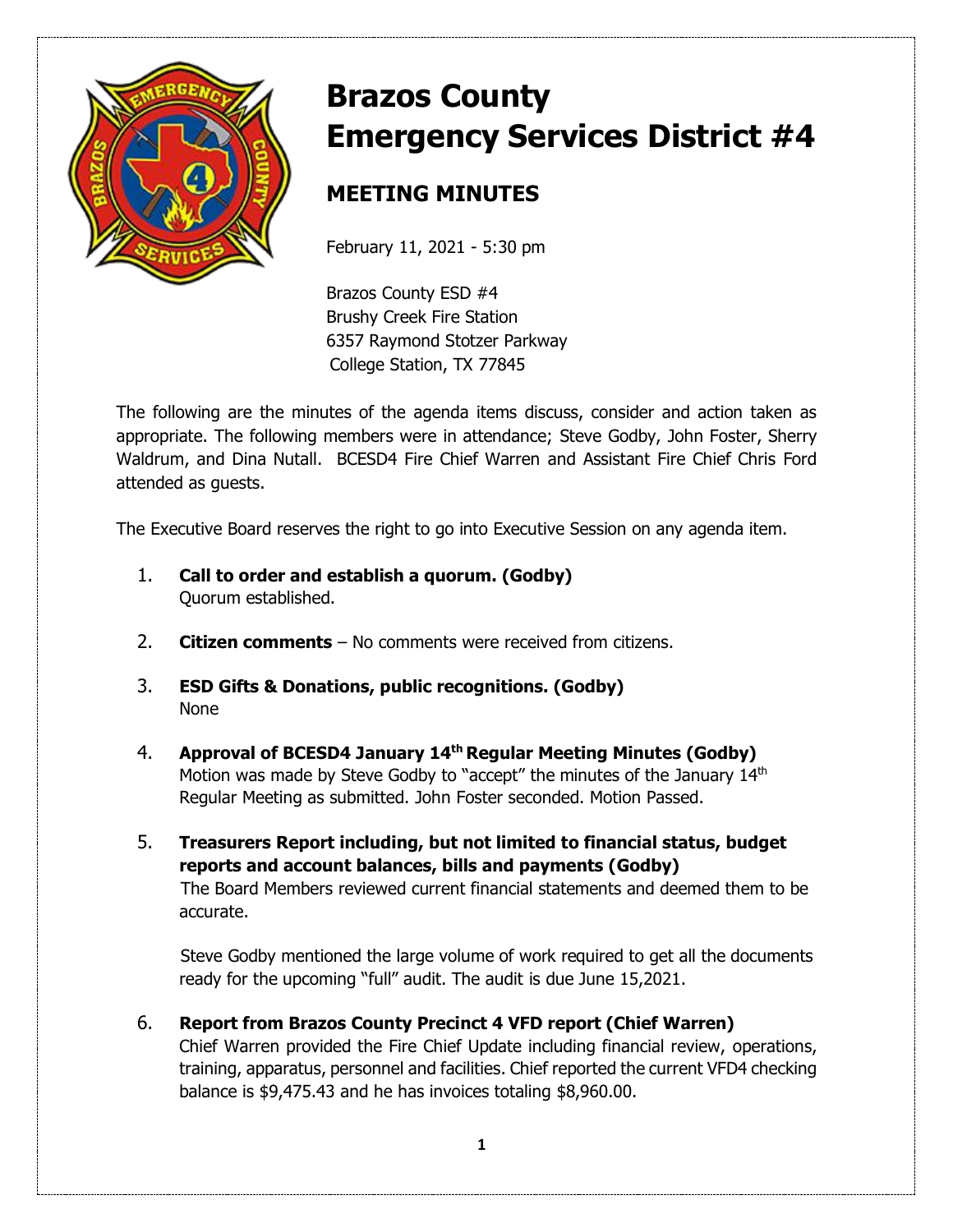

# **Brazos County Emergency Services District #4**

# **MEETING MINUTES**

February 11, 2021 - 5:30 pm

Brazos County ESD #4 Brushy Creek Fire Station 6357 Raymond Stotzer Parkway College Station, TX 77845

The following are the minutes of the agenda items discuss, consider and action taken as appropriate. The following members were in attendance; Steve Godby, John Foster, Sherry Waldrum, and Dina Nutall. BCESD4 Fire Chief Warren and Assistant Fire Chief Chris Ford attended as guests.

The Executive Board reserves the right to go into Executive Session on any agenda item.

- 1. **Call to order and establish a quorum. (Godby)** Quorum established.
- 2. **Citizen comments** No comments were received from citizens.
- 3. **ESD Gifts & Donations, public recognitions. (Godby)**  None
- 4. **Approval of BCESD4 January 14th Regular Meeting Minutes (Godby)** Motion was made by Steve Godby to "accept" the minutes of the January 14<sup>th</sup> Regular Meeting as submitted. John Foster seconded. Motion Passed.
- 5. **Treasurers Report including, but not limited to financial status, budget reports and account balances, bills and payments (Godby)**  The Board Members reviewed current financial statements and deemed them to be accurate.

Steve Godby mentioned the large volume of work required to get all the documents ready for the upcoming "full" audit. The audit is due June 15,2021.

6. **Report from Brazos County Precinct 4 VFD report (Chief Warren)** Chief Warren provided the Fire Chief Update including financial review, operations, training, apparatus, personnel and facilities. Chief reported the current VFD4 checking balance is \$9,475.43 and he has invoices totaling \$8,960.00.